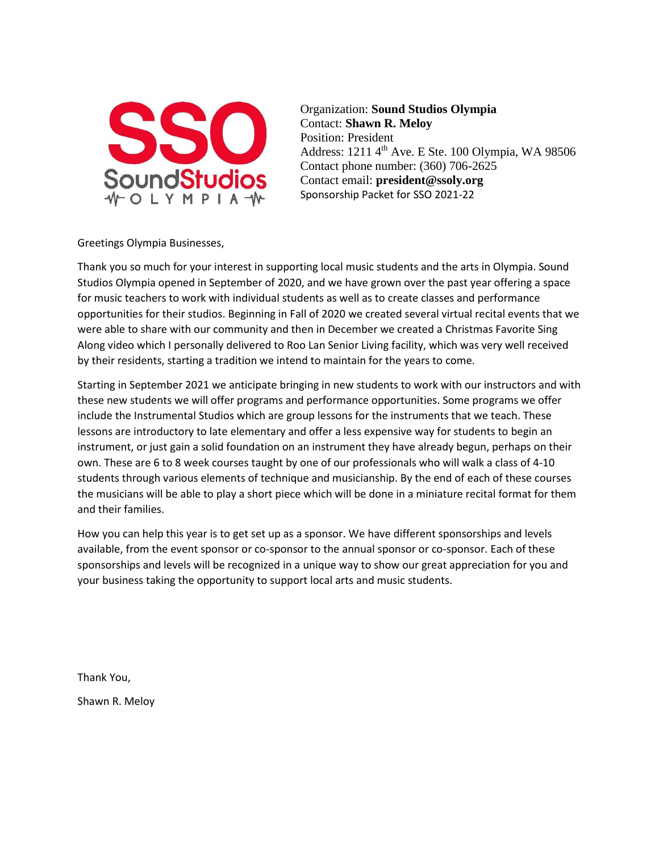

Organization: **Sound Studios Olympia** Contact: **Shawn R. Meloy** Position: President Address:  $1211 \, 4^{\text{th}}$  Ave. E Ste. 100 Olympia, WA 98506 Contact phone number: (360) 706-2625 Contact email: **president@ssoly.org** Sponsorship Packet for SSO 2021-22

Greetings Olympia Businesses,

Thank you so much for your interest in supporting local music students and the arts in Olympia. Sound Studios Olympia opened in September of 2020, and we have grown over the past year offering a space for music teachers to work with individual students as well as to create classes and performance opportunities for their studios. Beginning in Fall of 2020 we created several virtual recital events that we were able to share with our community and then in December we created a Christmas Favorite Sing Along video which I personally delivered to Roo Lan Senior Living facility, which was very well received by their residents, starting a tradition we intend to maintain for the years to come.

Starting in September 2021 we anticipate bringing in new students to work with our instructors and with these new students we will offer programs and performance opportunities. Some programs we offer include the Instrumental Studios which are group lessons for the instruments that we teach. These lessons are introductory to late elementary and offer a less expensive way for students to begin an instrument, or just gain a solid foundation on an instrument they have already begun, perhaps on their own. These are 6 to 8 week courses taught by one of our professionals who will walk a class of 4-10 students through various elements of technique and musicianship. By the end of each of these courses the musicians will be able to play a short piece which will be done in a miniature recital format for them and their families.

How you can help this year is to get set up as a sponsor. We have different sponsorships and levels available, from the event sponsor or co-sponsor to the annual sponsor or co-sponsor. Each of these sponsorships and levels will be recognized in a unique way to show our great appreciation for you and your business taking the opportunity to support local arts and music students.

Thank You,

Shawn R. Meloy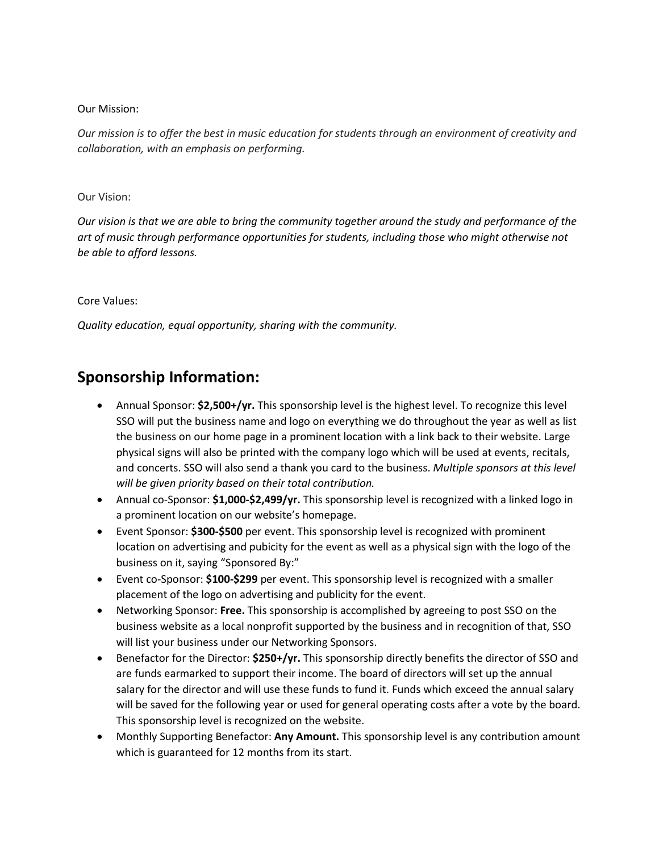## Our Mission:

*Our mission is to offer the best in music education for students through an environment of creativity and collaboration, with an emphasis on performing.*

## Our Vision:

*Our vision is that we are able to bring the community together around the study and performance of the art of music through performance opportunities for students, including those who might otherwise not be able to afford lessons.*

## Core Values:

*Quality education, equal opportunity, sharing with the community.*

## **Sponsorship Information:**

- Annual Sponsor: **\$2,500+/yr.** This sponsorship level is the highest level. To recognize this level SSO will put the business name and logo on everything we do throughout the year as well as list the business on our home page in a prominent location with a link back to their website. Large physical signs will also be printed with the company logo which will be used at events, recitals, and concerts. SSO will also send a thank you card to the business. *Multiple sponsors at this level will be given priority based on their total contribution.*
- Annual co-Sponsor: **\$1,000-\$2,499/yr.** This sponsorship level is recognized with a linked logo in a prominent location on our website's homepage.
- Event Sponsor: **\$300-\$500** per event. This sponsorship level is recognized with prominent location on advertising and pubicity for the event as well as a physical sign with the logo of the business on it, saying "Sponsored By:"
- Event co-Sponsor: **\$100-\$299** per event. This sponsorship level is recognized with a smaller placement of the logo on advertising and publicity for the event.
- Networking Sponsor: **Free.** This sponsorship is accomplished by agreeing to post SSO on the business website as a local nonprofit supported by the business and in recognition of that, SSO will list your business under our Networking Sponsors.
- Benefactor for the Director: **\$250+/yr.** This sponsorship directly benefits the director of SSO and are funds earmarked to support their income. The board of directors will set up the annual salary for the director and will use these funds to fund it. Funds which exceed the annual salary will be saved for the following year or used for general operating costs after a vote by the board. This sponsorship level is recognized on the website.
- Monthly Supporting Benefactor: **Any Amount.** This sponsorship level is any contribution amount which is guaranteed for 12 months from its start.